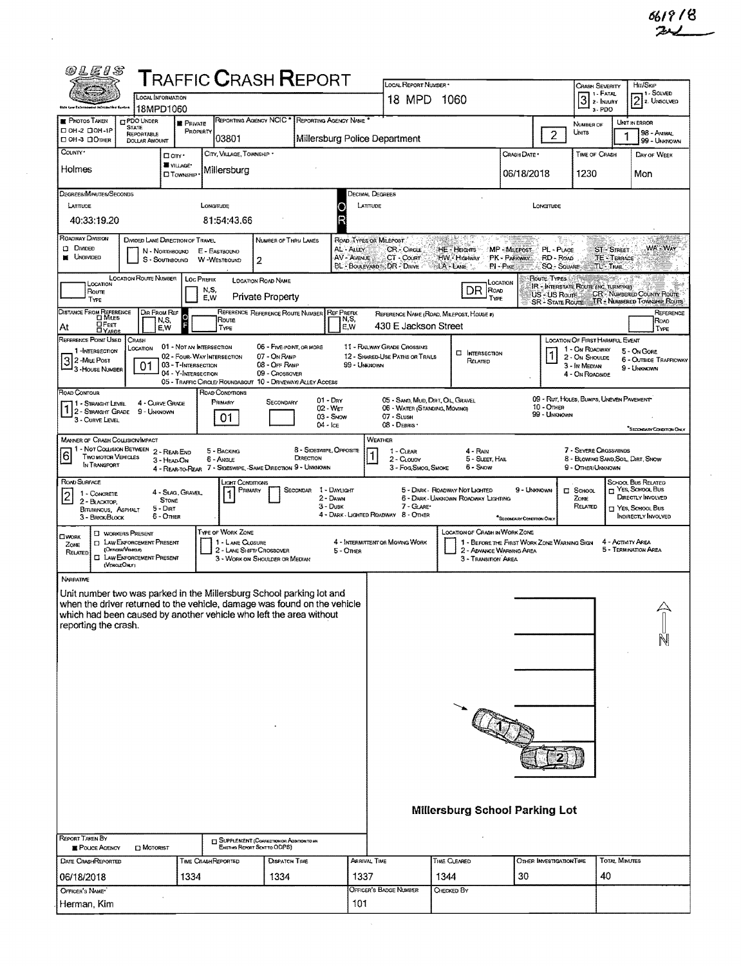$\sim$   $\sim$ 

| <b>TRAFFIC CRASH REPORT</b><br>LOCAL REPORT NUMBER *<br>CRASH SEVERITY<br>1 - Fatal<br>LOCAL INFORMATION<br>3<br>1060<br>18 MPD<br>2- INJURY<br>Okře Loui Enforcement (of order line Sector<br>18MPD1060<br>a-PDO<br>REPORTING AGENCY NCIC * REPORTING AGENCY NAME *<br><b>PHOTOS TAKEN</b><br><b>CIPDO UNDER</b><br><b>PRIVATE</b><br>NUMBER OF<br>STATE<br><b>DOH-2 DOH-1P</b><br>PROPERTY<br>$\overline{c}$<br><b>UNITS</b><br>REPORTABLE<br>103801<br>Millersburg Police Department<br>⊡ 0Н-3 ⊡Отнек<br><b>DOLLAR AMOUNT</b><br>County*<br>CITY, VILLAGE, TOWNSHIP .<br>Crash Date *<br>TIME OF CRASH<br>D'any *<br><b>WILLAGE*</b><br>Holmes<br>Millersburg<br>06/18/2018<br>1230<br><b>D</b> Township<br>Decimal Degrees<br>Degrees/Minutes/Seconds<br>LATITUDE<br>LONGTUDE<br>LATITUDE<br>LONGITUDE<br>40:33:19.20<br>81:54:43.66<br>ROADWAY DIVISION<br>DIVIDED LANE DIRECTION OF TRAVEL<br>NUMBER OF THRU LANES<br>ROAD TYPES OR MILEPOST.<br>C DIMDED<br>AL - ALLEY<br><b>CR - Circus</b><br>HE - Heights<br>MP - MILEPOST<br>PL - PLACE<br><b>ST-STREET</b><br>N - NORTHBOUND<br>E - EASTBOUND<br><b>UNDIVIDED</b><br>AV - AVENUE<br>CT - COURT<br>HW Highway<br><b>PK-PARKWAY</b><br>RD - ROAD<br>W -WESTBOUND<br>S - SouthBound<br>2<br>BL - BOULEVARD CDR - DRIVE<br>A-LANE<br>PI-Pike<br><b>SQ - SQUARE</b><br>TL'-TRAIL | Hn/Skip<br>1 - Solved<br>2. Unsolved<br>UNIT IN ERROR<br>98 - ANIMAL<br>99 - UNKNOWN<br>DAY OF WEEK<br>Mon<br>WA-WAY |  |  |  |  |  |  |  |  |  |  |  |
|-----------------------------------------------------------------------------------------------------------------------------------------------------------------------------------------------------------------------------------------------------------------------------------------------------------------------------------------------------------------------------------------------------------------------------------------------------------------------------------------------------------------------------------------------------------------------------------------------------------------------------------------------------------------------------------------------------------------------------------------------------------------------------------------------------------------------------------------------------------------------------------------------------------------------------------------------------------------------------------------------------------------------------------------------------------------------------------------------------------------------------------------------------------------------------------------------------------------------------------------------------------------------------------------------------------------------------------------|----------------------------------------------------------------------------------------------------------------------|--|--|--|--|--|--|--|--|--|--|--|
|                                                                                                                                                                                                                                                                                                                                                                                                                                                                                                                                                                                                                                                                                                                                                                                                                                                                                                                                                                                                                                                                                                                                                                                                                                                                                                                                         |                                                                                                                      |  |  |  |  |  |  |  |  |  |  |  |
|                                                                                                                                                                                                                                                                                                                                                                                                                                                                                                                                                                                                                                                                                                                                                                                                                                                                                                                                                                                                                                                                                                                                                                                                                                                                                                                                         |                                                                                                                      |  |  |  |  |  |  |  |  |  |  |  |
|                                                                                                                                                                                                                                                                                                                                                                                                                                                                                                                                                                                                                                                                                                                                                                                                                                                                                                                                                                                                                                                                                                                                                                                                                                                                                                                                         |                                                                                                                      |  |  |  |  |  |  |  |  |  |  |  |
|                                                                                                                                                                                                                                                                                                                                                                                                                                                                                                                                                                                                                                                                                                                                                                                                                                                                                                                                                                                                                                                                                                                                                                                                                                                                                                                                         |                                                                                                                      |  |  |  |  |  |  |  |  |  |  |  |
|                                                                                                                                                                                                                                                                                                                                                                                                                                                                                                                                                                                                                                                                                                                                                                                                                                                                                                                                                                                                                                                                                                                                                                                                                                                                                                                                         |                                                                                                                      |  |  |  |  |  |  |  |  |  |  |  |
|                                                                                                                                                                                                                                                                                                                                                                                                                                                                                                                                                                                                                                                                                                                                                                                                                                                                                                                                                                                                                                                                                                                                                                                                                                                                                                                                         |                                                                                                                      |  |  |  |  |  |  |  |  |  |  |  |
|                                                                                                                                                                                                                                                                                                                                                                                                                                                                                                                                                                                                                                                                                                                                                                                                                                                                                                                                                                                                                                                                                                                                                                                                                                                                                                                                         |                                                                                                                      |  |  |  |  |  |  |  |  |  |  |  |
| <b>TE-TERRACE</b>                                                                                                                                                                                                                                                                                                                                                                                                                                                                                                                                                                                                                                                                                                                                                                                                                                                                                                                                                                                                                                                                                                                                                                                                                                                                                                                       |                                                                                                                      |  |  |  |  |  |  |  |  |  |  |  |
| <b>LOCATION ROUTE NUMBER</b><br>Route Types<br><b>LOC PREFIX</b><br><b>LOCATION ROAD NAME</b><br>LOCATION<br>LOCATION<br>IR - INTERSTATE ROUTE (INC. TURNPIKE)<br>DR<br>N,S,<br>ROAD<br>Route<br>CR - NUMBERED COUNTY ROUTE<br>US - US Roufe<br>Private Property<br>E,W<br>TYPE<br>TYPE<br>SR <sup>1</sup> STATE ROUTE TR - NUMBERED TOWNSHIP ROUTE                                                                                                                                                                                                                                                                                                                                                                                                                                                                                                                                                                                                                                                                                                                                                                                                                                                                                                                                                                                     |                                                                                                                      |  |  |  |  |  |  |  |  |  |  |  |
| DISTANCE FROM REFERENCE<br>REFERENCE REFERENCE ROUTE NUMBER REF PREFIX<br>Dir From Ref<br>REFERENCE NAME (ROAD, MILEPOST, HOUSE #)<br>Ó<br>Route<br>N, S,<br>N.S.<br><b>OFEET</b><br>DYARDS<br>430 E Jackson Street<br>E,W<br>At<br>E,W<br>TYPE                                                                                                                                                                                                                                                                                                                                                                                                                                                                                                                                                                                                                                                                                                                                                                                                                                                                                                                                                                                                                                                                                         | REFERENCE<br>ROAD<br>TYPE                                                                                            |  |  |  |  |  |  |  |  |  |  |  |
| REFERENCE POINT USED<br>LOCATION OF FIRST HARMFUL EVENT<br>CRASH<br>01 - NOT AN INTERSECTION<br>06 - FIVE-POINT, OR MORE<br>11 - RAILWAY GRADE CROSSING<br>LOCATION<br>1 - On ROADWAY<br>1-INTERSECTION<br><b>EI</b> INTERSECTION                                                                                                                                                                                                                                                                                                                                                                                                                                                                                                                                                                                                                                                                                                                                                                                                                                                                                                                                                                                                                                                                                                       | 5 - On Gone                                                                                                          |  |  |  |  |  |  |  |  |  |  |  |
| 02 - FOUR-WAY INTERSECTION<br>07 - On RAMP<br>12 - SHARED-USE PATHS OR TRALS<br>2 - ON SHOULDE<br>3 2-MILE Post<br>RELATED<br>03 - T-Intersection<br>08 - OFF RAMP<br>99 - Unknown<br>01<br>3 - In MEDIAN<br>3 - HOUSE NUMBER<br>04 - Y-INTERSECTION<br>09 - CROSSOVER<br>4 - On ROADSIDE<br>05 - TRAFFIC CIRCLE/ ROUNDABOUT 10 - DRIVEWAY ALLEY ACCESS                                                                                                                                                                                                                                                                                                                                                                                                                                                                                                                                                                                                                                                                                                                                                                                                                                                                                                                                                                                 | <b>6 - OUTSIDE TRAFFICWAY</b><br>9 - UNKNOWN                                                                         |  |  |  |  |  |  |  |  |  |  |  |
| ROAD CONTOUR<br>ROAD CONDITIONS<br>09 - RUT, HOLES, BUMPS, UNEVEN PAVEMENT<br>$01 - \text{Drv}$<br>05 - SAND, MUD, DRIT, OIL, GRAVEL<br>PRIMARY<br>SECONDARY<br>4 - CURVE GRADE<br>1 - Straight Level<br>10 - Отнев<br>02 - WET<br>06 - WATER (STANDING, MOVING)<br>2 - STRAIGHT GRADE<br>9 - Unknown<br>99 - UNKNOWN<br>$03 -$ SNOW<br>07 - SLUSH<br>01<br>3 - CURVE LEVEL<br>08 - DEBRIS .<br>$04 -$ Ice                                                                                                                                                                                                                                                                                                                                                                                                                                                                                                                                                                                                                                                                                                                                                                                                                                                                                                                              |                                                                                                                      |  |  |  |  |  |  |  |  |  |  |  |
| <b>MANNER OF CRASH COLLISION/IMPACT</b><br>WEATHER                                                                                                                                                                                                                                                                                                                                                                                                                                                                                                                                                                                                                                                                                                                                                                                                                                                                                                                                                                                                                                                                                                                                                                                                                                                                                      | <sup>*</sup> SECONDARY CONDITION CHAY                                                                                |  |  |  |  |  |  |  |  |  |  |  |
| 1 - NOT COLLISION BETWEEN 2 - REAR-END<br>8 - SIDESWIPE, OPPOSITE<br>7 - SEVERE CROSSWINDS<br>5 - BACKING<br>1 - CLEAR<br>4 - RAIN<br>6<br><b>TWO MOTOR VEHICLES</b><br>DIRECTION<br>5 - SLEET, HAL<br>6 - Angle<br>2 - CLOUDY<br>3 - HEAD-ON<br>IN TRANSPORT<br>4 - REAR-TO-REAR 7 - SIDESWIPE, - SAME DIRECTION 9 - UNKNOWN<br>3 - Fog, Smog, Smoke<br>6 - Snow<br>9 - OTHER/UNKNOWN                                                                                                                                                                                                                                                                                                                                                                                                                                                                                                                                                                                                                                                                                                                                                                                                                                                                                                                                                  | 8 - BLOWING SAND, SOIL, DIRT, SNOW                                                                                   |  |  |  |  |  |  |  |  |  |  |  |
| ROAD SURFACE<br>Light Contintions<br>5 - DARK - ROADWAY NOT LIGHTED<br>9 - UNKNOWN<br>Secondar<br>1 - Dayugart<br>$\square$ School.<br>PRIMARY<br>4 - Slag, Gravel<br>1 - CONCRETE<br>2 - DAWN<br>6 - DARK - UNKNOWN ROADWAY LIGHTING<br>Zone<br><b>STONE</b><br>2 - BLACKTOP<br>7 - GLARE*<br>$3 - D$ usk<br>RELATED<br>$5 -$ Dir $T$<br>BITUMINOUS, ASPHALT<br>4 - DARK - LIGHTED ROADWAY 8 - OTHER<br>6 - Other<br>3 - BRICK-BLOCK<br>*SECONDARY CONDITION ONLY                                                                                                                                                                                                                                                                                                                                                                                                                                                                                                                                                                                                                                                                                                                                                                                                                                                                      | <b>SCHOOL BUS RELATED</b><br>YES, SCHOOL BUS<br>DIRECTLY INVOLVED<br>T YES, SCHOOL BUS<br><b>INDIRECTLY INVOLVED</b> |  |  |  |  |  |  |  |  |  |  |  |
| TYPE OF WORK ZONE<br><b>LOCATION OF CRASH IN WORK ZONE</b><br><b>C WORKERS PRESENT</b><br><b>OWORK</b><br><b>EL LAW ENFORCEMENT PRESENT</b><br>1 - LANE CLOSURE<br>4 - INTERMITTENT OR MOVING WORK<br>1 - BEFORE THE FIRST WORK ZONE WARNING SIGN<br>4 - ACTIVITY AREA<br>Zone:<br>(OFFICER VENCLE)<br>2 - LANE SHIFT/ CROSSOVER<br>2 - ADVANCE WARNING AREA<br>5 - Omea<br>RELATED<br><b>CJ</b> LAW ENFORCEMENT PRESENT<br>3 - WORK ON SHOULDER OR MEDIAN<br>3 - TRANSITION AREA<br>(VENGLEONLY)                                                                                                                                                                                                                                                                                                                                                                                                                                                                                                                                                                                                                                                                                                                                                                                                                                       | 5 - TERMINATION AREA                                                                                                 |  |  |  |  |  |  |  |  |  |  |  |
| <b>NARRATIVE</b>                                                                                                                                                                                                                                                                                                                                                                                                                                                                                                                                                                                                                                                                                                                                                                                                                                                                                                                                                                                                                                                                                                                                                                                                                                                                                                                        |                                                                                                                      |  |  |  |  |  |  |  |  |  |  |  |
| Unit number two was parked in the Millersburg School parking lot and<br>when the driver returned to the vehicle, damage was found on the vehicle<br>which had been caused by another vehicle who left the area without<br>reporting the crash.                                                                                                                                                                                                                                                                                                                                                                                                                                                                                                                                                                                                                                                                                                                                                                                                                                                                                                                                                                                                                                                                                          | N                                                                                                                    |  |  |  |  |  |  |  |  |  |  |  |
|                                                                                                                                                                                                                                                                                                                                                                                                                                                                                                                                                                                                                                                                                                                                                                                                                                                                                                                                                                                                                                                                                                                                                                                                                                                                                                                                         |                                                                                                                      |  |  |  |  |  |  |  |  |  |  |  |
|                                                                                                                                                                                                                                                                                                                                                                                                                                                                                                                                                                                                                                                                                                                                                                                                                                                                                                                                                                                                                                                                                                                                                                                                                                                                                                                                         |                                                                                                                      |  |  |  |  |  |  |  |  |  |  |  |
|                                                                                                                                                                                                                                                                                                                                                                                                                                                                                                                                                                                                                                                                                                                                                                                                                                                                                                                                                                                                                                                                                                                                                                                                                                                                                                                                         |                                                                                                                      |  |  |  |  |  |  |  |  |  |  |  |
| Millersburg School Parking Lot                                                                                                                                                                                                                                                                                                                                                                                                                                                                                                                                                                                                                                                                                                                                                                                                                                                                                                                                                                                                                                                                                                                                                                                                                                                                                                          |                                                                                                                      |  |  |  |  |  |  |  |  |  |  |  |
| <b>REPORT TAKEN BY</b><br><b>ET SUPPLEMENT (CORRECTION OR ADDITION TO AN</b><br>Existing Report Sent to ODPS)<br>POLICE AGENCY<br><b>D</b> MOTORIST                                                                                                                                                                                                                                                                                                                                                                                                                                                                                                                                                                                                                                                                                                                                                                                                                                                                                                                                                                                                                                                                                                                                                                                     |                                                                                                                      |  |  |  |  |  |  |  |  |  |  |  |
| <b>TOTAL MINUTES</b><br>DATE CRASHREPORTED<br>ARRIVAL TIME<br>TIME CLEARED<br>TIME CRASHREPORTED<br><b>DISPATCH TIME</b><br>OTHER INVESTIGATION TIME                                                                                                                                                                                                                                                                                                                                                                                                                                                                                                                                                                                                                                                                                                                                                                                                                                                                                                                                                                                                                                                                                                                                                                                    |                                                                                                                      |  |  |  |  |  |  |  |  |  |  |  |
| 30<br>40<br>1334<br>1334<br>1337<br>1344<br>06/18/2018                                                                                                                                                                                                                                                                                                                                                                                                                                                                                                                                                                                                                                                                                                                                                                                                                                                                                                                                                                                                                                                                                                                                                                                                                                                                                  |                                                                                                                      |  |  |  |  |  |  |  |  |  |  |  |
| OFFICER'S BADGE NUMBER<br>OFFICER'S NAME*<br>CHECKED BY<br>101<br>Herman, Kim                                                                                                                                                                                                                                                                                                                                                                                                                                                                                                                                                                                                                                                                                                                                                                                                                                                                                                                                                                                                                                                                                                                                                                                                                                                           |                                                                                                                      |  |  |  |  |  |  |  |  |  |  |  |

 $\sim$ 

 $\sim$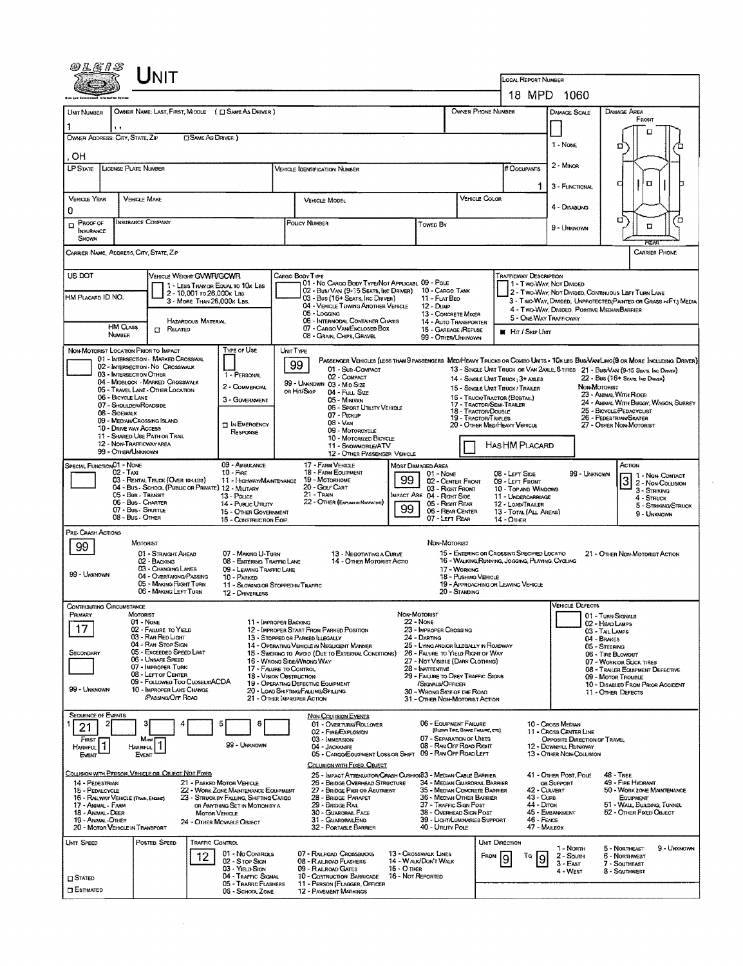|                                                                                        |                                                                                                                  |                                                                          |                                                                                                                                 |                                              | LOCAL REPORT NUMBER                                                                   | 18 MPD 1060                                                                                                           |                                                                             |                                                                                                                               |  |  |  |  |  |
|----------------------------------------------------------------------------------------|------------------------------------------------------------------------------------------------------------------|--------------------------------------------------------------------------|---------------------------------------------------------------------------------------------------------------------------------|----------------------------------------------|---------------------------------------------------------------------------------------|-----------------------------------------------------------------------------------------------------------------------|-----------------------------------------------------------------------------|-------------------------------------------------------------------------------------------------------------------------------|--|--|--|--|--|
| UNIT NUMBER                                                                            | OWNER NAME: LAST, FIRST, MIDDLE ( C SAME AS DRIVER )                                                             |                                                                          |                                                                                                                                 | OWNER PHONE NUMBER                           |                                                                                       | <b>DAMAGE SCALE</b>                                                                                                   | DAMAGE AREA                                                                 |                                                                                                                               |  |  |  |  |  |
|                                                                                        | 11                                                                                                               |                                                                          |                                                                                                                                 |                                              |                                                                                       |                                                                                                                       |                                                                             | FRONT                                                                                                                         |  |  |  |  |  |
| OWNER ADDRESS: CITY, STATE, ZIP                                                        |                                                                                                                  | <b>CISAME AS DRIVER</b> )                                                |                                                                                                                                 |                                              | 1 - None                                                                              | □<br>о                                                                                                                |                                                                             |                                                                                                                               |  |  |  |  |  |
| . OH                                                                                   |                                                                                                                  |                                                                          |                                                                                                                                 |                                              |                                                                                       |                                                                                                                       | $2 -$ MINOR                                                                 |                                                                                                                               |  |  |  |  |  |
| <b>LP STATE</b>                                                                        | LICENSE PLATE NUMBER                                                                                             |                                                                          | <b>VEHICLE IDENTIFICATION NUMBER</b>                                                                                            |                                              |                                                                                       | # Occupants                                                                                                           |                                                                             | α                                                                                                                             |  |  |  |  |  |
| <b>VEHICLE YEAR</b>                                                                    | <b>VEHICLE MAKE</b>                                                                                              |                                                                          | VEHICLE MODEL                                                                                                                   |                                              | VEHICLE COLOR                                                                         | о<br>3 - FUNCTIONAL                                                                                                   |                                                                             |                                                                                                                               |  |  |  |  |  |
| 0                                                                                      |                                                                                                                  |                                                                          |                                                                                                                                 |                                              |                                                                                       |                                                                                                                       | 4 - Disabling                                                               |                                                                                                                               |  |  |  |  |  |
| Proof of<br>o<br>INSURANCE<br>SHOWN                                                    | INSURANCE COMPANY                                                                                                |                                                                          | POLICY NUMBER                                                                                                                   | Towed By                                     |                                                                                       |                                                                                                                       | σ<br>ם<br>□                                                                 |                                                                                                                               |  |  |  |  |  |
|                                                                                        | CARRIER NAME, ADDRESS, CITY, STATE, ZIP                                                                          |                                                                          |                                                                                                                                 |                                              |                                                                                       |                                                                                                                       |                                                                             | FTAR<br><b>CARRIER PHONE</b>                                                                                                  |  |  |  |  |  |
| US DOT<br>VEHICLE WEIGHT GVWR/GCWR<br>CARGO BODY TYPE<br><b>TRAFFICWAY DESCRIPTION</b> |                                                                                                                  |                                                                          |                                                                                                                                 |                                              |                                                                                       |                                                                                                                       |                                                                             |                                                                                                                               |  |  |  |  |  |
|                                                                                        | 2 - 10,001 ro 26,000k Las                                                                                        | 1 - LESS THAN OR EQUAL TO 10x LBS                                        | 01 - No CARGO BODY TYPE/NOT APPLICABL 09 - POLE<br>02 - Bus/ VAN (9-15 SEATS, INC DRIVER) 10 - CARGO TANK                       |                                              |                                                                                       |                                                                                                                       | 1 - Two-Way, Not Divided                                                    | 2 - TWO-WAY, NOT DIVIDED, CONTINUOUS LEFT TURN LANE                                                                           |  |  |  |  |  |
| HM PLACARD ID NO.                                                                      | 3 - MORE THAN 26,000x LBS.                                                                                       |                                                                          | 03 - Bus (16+ Seats, Inc Driver)<br>04 - VEHICLE TOWING ANOTHER VEHICLE<br>05 - Logging                                         | 11 - FLAT BEO<br><b>12 - Оимр</b>            | 13 - CONCRETE MIXER                                                                   |                                                                                                                       | 4 - Two-Way, Divided, Positive MedianBarrier                                | 3 - T WO-WAY, DIVIDED, UNPROTECTED (PAINTED OR GRASS > <ft.) media<="" td=""></ft.)>                                          |  |  |  |  |  |
|                                                                                        | <b>HAZARDOUS MATERIAL</b><br><b>HM CLASS</b><br>$\Gamma$ Related                                                 |                                                                          | 06 - INTERMODAL CONTAINER CHASIS<br>07 - CARGO VAN ENCLOSED BOX                                                                 |                                              | 14 - AUTO TRANSPORTER<br>15 - GARBAGE /REFUSE                                         | <b>HI</b> HIT / SKIP UNT                                                                                              | 5 - ONE-WAY TRAFFICWAY                                                      |                                                                                                                               |  |  |  |  |  |
|                                                                                        | <b>NUMBER</b>                                                                                                    |                                                                          | 08 - GRAIN, CHIPS, GRAVEL                                                                                                       |                                              | 99 - OTHER/LINKNOWN                                                                   |                                                                                                                       |                                                                             |                                                                                                                               |  |  |  |  |  |
|                                                                                        | NON-MOTORIST LOCATION PRIOR TO IMPACT<br>01 - INTERSECTION - MARKED CROSSWAL<br>02 - INTERSECTION - NO CROSSWALK | <b>TYPE OF USE</b>                                                       | UNIT TYPE<br>99                                                                                                                 |                                              |                                                                                       |                                                                                                                       |                                                                             | PASSENGER VEHICLES (LESS THAN 9 PASSENGERS MEDIHEAVY TRUCKS OR COMBO UNITS > 10K LBS BUS/VAN LIMO(9 OR MORE INCLUDING DRIVER) |  |  |  |  |  |
|                                                                                        | 03 - INTERSECTION OTHER<br>04 - MIDBLOCK - MARKED CROSSWALK                                                      | 1 - PERSONAL                                                             | 01 - Sub-COMPACT<br>02 - COMPACT                                                                                                |                                              |                                                                                       | 14 - SINGLE UNIT TRUCK; 3+ AXLES                                                                                      |                                                                             | 13 - SINGLE UNIT TRUCK OR VAN 2AXLE, 6 TIRES 21 - BUS/VAN (9-15 SEATS, INC DRIVER)<br>22 - Bus (16+ Sears, Inc Driver)        |  |  |  |  |  |
|                                                                                        | 05 - Travel Lane - OTHER LOCATION<br>06 - BICYCLE LANE                                                           | 2 - COMMERCIAL<br>3 - GOVERNMENT                                         | 99 - UNKNOWN 03 - MID SIZE<br>or Hit/Skip<br>04 - Full Size<br>Q5 - MINIVAN                                                     |                                              |                                                                                       | 15 - SINGLE UNIT TRUCK / TRAILER<br>16 - TRUCK/TRACTOR (BORTAIL)                                                      | NON-MOTORIST<br>23 - ANIMAL WITH RIDER                                      |                                                                                                                               |  |  |  |  |  |
|                                                                                        | 07 - Shoulder/Roadside<br>08 - Sidewalk                                                                          |                                                                          | 06 - Seort Uttury Verscus<br>07 - Prokup                                                                                        |                                              | 17 - TRACTOR/SEMI-TRAILER<br>18 - TRACTOR/DOUBLE<br><b>19 - TRACTOR/TRIPLES</b>       |                                                                                                                       |                                                                             | 24 - ANIMAL WITH BUGGY, WAGON, SURREY<br>25 - BICYCLE/PEDACYCUST<br>26 - PEDESTRIAN/SKATER                                    |  |  |  |  |  |
|                                                                                        | 09 - MEDIAN CROSSING ISLAND<br><b>10 - DRIVE WAY ACCESS</b><br>11 - SHARED-USE PATH OR TRAIL                     | <b>D</b> IN EMERGENCY<br>RESPONSE                                        | 08 - Van<br>09 - MOTORCYCLE                                                                                                     |                                              |                                                                                       | 20 - OTHER MED/HEAVY VEHICLE                                                                                          | 27 - OTHER NON-MOTORIST                                                     |                                                                                                                               |  |  |  |  |  |
|                                                                                        | 12 - NON-TRAFFICWAY AREA<br>99 - OTHERAJNKNOWN                                                                   |                                                                          | 10 - MOTORIZED BICYCLE<br>11 - SNOWMOBILE/ATV<br>12 - OTHER PASSENGER VEHICLE                                                   |                                              | HAS HM PLACARD                                                                        |                                                                                                                       |                                                                             |                                                                                                                               |  |  |  |  |  |
| SPECIAL FUNCTION01 - NONE                                                              | $02 - Tax$                                                                                                       | 09 - AMBULANCE<br>$10 -$ Figs.                                           | 17 - FARM VEHICLE<br><b>18 - FARM EOUPMENT</b>                                                                                  | <b>MOST DAMAGED AREA</b>                     |                                                                                       |                                                                                                                       |                                                                             | ACTION                                                                                                                        |  |  |  |  |  |
|                                                                                        | 03 - RENTAL TRUCK (OVER 10K LBS)<br>04 - Bus - School (Public or Private) 12 - Military                          | 11 - Highway/Maintenance                                                 | 19 - Мотокноме<br>20 - Golf Cart                                                                                                | 01 - Nove<br>99                              | 02 - CENTER FRONT<br>03 - Right Front                                                 | 08 - LEFT SIDE<br>09 - LEFT FRONT<br>10 - TOP AND WINDOWS                                                             | 99 - UNKNOWN                                                                | 1 - Non Contact<br>2 - Non-Collision                                                                                          |  |  |  |  |  |
|                                                                                        | 05 - Bus - TRANSIT<br>06 - Bus - Charter                                                                         | 13 - Pouce<br>14 - Pusuc Ununy                                           | <b>IMPACT ARE 04 - RIGHT SIDE</b><br>22 - OTHER (EXPLAN IN NAFRATIVE)                                                           | 05 - Right Rear                              | 11 - UNDERCARRIAGE<br>12 - LOAD/TRAILER                                               |                                                                                                                       | 3 - Striking<br>4 - STRUCK<br>5 - STRIKING/STRUCK                           |                                                                                                                               |  |  |  |  |  |
|                                                                                        | 07 - Bus - SHUTTLE<br>08 - Bus - OTHER                                                                           | 15 - OTHER GOVERNMENT<br>16 - CONSTRUCTION EOIP.                         |                                                                                                                                 | 99                                           | 06 - REAR CENTER<br>07 - LEFT REAR                                                    | 13 - TOTAL (ALL AREAS)<br>14 - Отнек                                                                                  |                                                                             | 9 - UNKNOWN                                                                                                                   |  |  |  |  |  |
| PRE- CRASH ACTIONS                                                                     | <b>MOTORIST</b>                                                                                                  |                                                                          |                                                                                                                                 |                                              | NDN-MOTORIST                                                                          |                                                                                                                       |                                                                             |                                                                                                                               |  |  |  |  |  |
| 99                                                                                     | 01 - STRAIGHT AHEAD<br>02 - BACKING                                                                              | 07 - MAKING U-TURN<br>08 - ENTERING TRAFFIC LANE                         | 13 - Negotiating a Curve<br>14 - OTHER MOTORIST ACTIO                                                                           |                                              |                                                                                       | 15 - EMTERING OR CROSSING SPECIFIED LOCATIO<br>16 - WALKING RUNNING, JOGGING, PLAYING, CYCLING                        |                                                                             | 21 - OTHER NON-MOTORIST ACTION                                                                                                |  |  |  |  |  |
| 99 - UNKNOWN                                                                           | 03 - CHANGING LANES<br>04 - OVERTAKING/PASSING                                                                   | 09 - LEAVING TRAFFIC LANE<br>10 - PARKED                                 |                                                                                                                                 |                                              | 17 - WORKING<br>18 - PUSHING VEHICLE                                                  |                                                                                                                       |                                                                             |                                                                                                                               |  |  |  |  |  |
|                                                                                        | 05 - MAKING RIGHT TURN<br>06 - MAKING LEFT TURN                                                                  | 11 - SLOWING OR STOPPED IN TRAFFIC<br>12 - DRIVERLESS                    |                                                                                                                                 |                                              | 20 - STANDING                                                                         | 19 - APPROACHING OR LEAVING VEHICLE                                                                                   |                                                                             |                                                                                                                               |  |  |  |  |  |
| JONTRIBUTING UIRCUMSTANCE<br>PRIMARY                                                   | MOTORIST                                                                                                         |                                                                          |                                                                                                                                 | NON-MOTORIST                                 |                                                                                       |                                                                                                                       | <b>VEHICLE DEFECTS</b>                                                      |                                                                                                                               |  |  |  |  |  |
| 17                                                                                     | 01 - None<br>02 - FAILURE TO YIELD                                                                               | 11 - IMPROPER BACKING                                                    | 12 - IMPROPER START FROM PARKED POSITION                                                                                        | 22 - NONE<br>23 - IMPROPER CROSSING          |                                                                                       |                                                                                                                       |                                                                             | 01 - TURN SIGNALS<br>02 - HEAD LAMPS<br>03 - TAIL LAMPS                                                                       |  |  |  |  |  |
|                                                                                        | 03 - Ran Red Light<br>04 - RAN STOP SIGN                                                                         |                                                                          | 13 - STOPPED OR PARKED LLEGALLY<br>14 - OPERATING VEHICLE IN NEGLIGENT MANNER                                                   | 24 - Darting                                 | 25 - LYING AND/OR LLEGALLY IN ROADWAY                                                 |                                                                                                                       |                                                                             | 04 - BRAKES<br>05 - STEERING                                                                                                  |  |  |  |  |  |
| SECONDARY                                                                              | 05 - Exceeded Speed Limit<br>06 - UNSAFE SPEED<br>07 - IMPROPER TURN                                             |                                                                          | 15 - SWERING TO AVOID (DUE TO EXTERNAL CONDITIONS)<br>16 - WRONG SIDE MRONG WAY<br>17 - FALURE TO CONTROL                       |                                              | 26 - FALURE TO YIELD RIGHT OF WAY<br>27 - NOT VISIBLE (DARK CLOTHING)                 |                                                                                                                       | 06 - TIRE BLOWOUT<br>07 - WORN OR SLICK TIRES                               |                                                                                                                               |  |  |  |  |  |
|                                                                                        | 08 - LEFT OF CENTER<br>09 - FOLLOWED TOO CLOSELY/ACDA                                                            |                                                                          | <b>18 - VISION OBSTRUCTION</b><br>19 - OPERATING DEFECTIVE EQUIPMENT                                                            | 28 - Inattentive<br>/Signals/Officer         | 29 - FAILURE TO OBEY TRAFFIC SKONS                                                    | 08 - TRAILER EQUIPMENT DEFECTIVE<br>09 - MOTOR TROUBLE<br>10 - DISABLED FROM PRIOR ACCIDENT                           |                                                                             |                                                                                                                               |  |  |  |  |  |
| 99 - Unknown                                                                           | 10 - IMPROPER LANE CHANGE<br><b>PASSING/OFF ROAD</b>                                                             |                                                                          | 20 - LOAD SHIFTING/FALLING/SPILLING<br>21 - OTHER IMPROPER ACTION                                                               |                                              | 30 - WRONG SIDE OF THE ROAD<br>31 - OTHER NON-MOTORIST ACTION                         |                                                                                                                       |                                                                             | 11 - OTHER DEFECTS                                                                                                            |  |  |  |  |  |
| <b>SEQUENCE OF EVENTS</b>                                                              |                                                                                                                  |                                                                          | NON-COLLISION EVENTS                                                                                                            |                                              |                                                                                       |                                                                                                                       |                                                                             |                                                                                                                               |  |  |  |  |  |
| 21<br>FIRST <b>F</b>                                                                   | Most                                                                                                             | 8<br>ь                                                                   | 01 - Overturn/Rollover<br>02 - FIRE/EXPLOSION<br>03 - IMMERSION                                                                 |                                              | 06 - EQUIPMENT FAILURE<br>(BLOWN TWE, BRAKE FAILURE, ETC)<br>07 - SEPARATION OF UNITS |                                                                                                                       | 10 - Cross Median<br>11 - Cross Center Line<br>OPPOSITE DIRECTION OF TRAVEL |                                                                                                                               |  |  |  |  |  |
| $H$ ARMFUL $\vert$ 1<br>Event                                                          | HARMFUL <sup>1</sup><br>Event                                                                                    | 99 - UNKNOWN                                                             | 04 - JACKKNIFE<br>05 - CARGO/EQUIPMENT LOSS OR SHIFT                                                                            |                                              | 08 - RAN OFF ROAD RIGHT<br>09 - RAN OFF ROAD LEFT                                     |                                                                                                                       | 12 - DOWNHILL RUNAWAY<br>13 - OTHER NON-COLLISION                           |                                                                                                                               |  |  |  |  |  |
|                                                                                        | COLLISION WITH PERSON, VEHICLE OR OBJECT NOT FIXED                                                               |                                                                          | COLUSION WITH FIXED, OBJECT                                                                                                     |                                              |                                                                                       |                                                                                                                       |                                                                             |                                                                                                                               |  |  |  |  |  |
| 14 - PEDESTRIAN<br>15 - PEDALCYCLE                                                     |                                                                                                                  | 21 - PARKED MOTOR VEHICLE<br>22 - WORK ZONE MAINTENANCE EQUIPMENT        | 25 - IMPACT ATTENUATOR/CRASH CUSHION 3 - MEDIAN CABLE BARRIER<br>26 - BRIDGE OVERHEAD STRUCTURE<br>27 - BRIDGE PIER OR ABUTMENT |                                              | 34 - MEDIAN GUARDRAIL BARRIER<br>35 - MEDIAN CONCRETE BARRIER                         | $48 -$ TREE<br>41 - OTHER POST, POLE<br>49 - FIRE HYDRANT<br>OR SUPPORT<br>42 - CULVERT<br>50 - WORK ZONE MAINTENANCE |                                                                             |                                                                                                                               |  |  |  |  |  |
| 17 - Animal - Farm                                                                     | 16 - RAILWAY VEHICLE (TRAIN, ENGINE)                                                                             | 23 - STRUCK BY FALLING, SHIFTING CARGO<br>OR ANYTHING SET IN MOTION BY A | 28 - BRIDGE PARAPET<br>29 - BRIDGE RAIL                                                                                         |                                              | 36 - MEDIAN OTHER BARRIER<br>37 - TRAFFIC SIGN POST                                   | 43 - Cure<br>44 - Dirch                                                                                               |                                                                             | EQUIPMENT<br>51 - WALL, BUILDING, TUNNEL                                                                                      |  |  |  |  |  |
| 18 - Antimal - DEER<br>19 - ANIMAL -OTHER                                              |                                                                                                                  | <b>MOTOR VEHICLE</b><br>24 - OTHER MOVABLE OBJECT                        | 30 - GUARDRAIL FACE<br>31 - GUARDRAILEND                                                                                        | 40 - Unury Pous                              | 38 - Overhead Sign Post<br>39 - LIGHT/LUMINARIES SUPPORT                              | 46 - FENCE<br>47 - MAILBOK                                                                                            | 45 - EMBANKMENT                                                             | 52 - OTHER FIXED OBJECT                                                                                                       |  |  |  |  |  |
| Unit Speed                                                                             | 20 - MOTOR VEHICLE IN TRANSPORT<br>POSTED SPEED                                                                  | <b>TRAFFIC CONTROL</b>                                                   | 32 - PORTABLE BARRIER                                                                                                           |                                              |                                                                                       | UNIT DIRECTION                                                                                                        |                                                                             |                                                                                                                               |  |  |  |  |  |
|                                                                                        | 12                                                                                                               | 01 No Controls<br>02 - Stop Sign                                         | 07 - RALROAD CROSSBUCKS<br>08 - RALROAD FLASHERS                                                                                | 13 - Crosswalk Lines<br>14 - WALK/DON'T WALK |                                                                                       | FROM<br>TQ<br>9                                                                                                       | 1 - North<br>2 - Soum                                                       | 9 - UNKNOWN<br>5 - NORTHEAST<br>6 - NORTHWEST                                                                                 |  |  |  |  |  |
| <b>CI STATED</b>                                                                       |                                                                                                                  | 03 - YIELD StGN<br>04 - TRAFFIC SIGNAL                                   | 09 - RAILROAD GATES<br>10 - COSTRUCTION BARRICADE                                                                               | $15 - O$ THER<br>16 - Not Reported           |                                                                                       |                                                                                                                       | $3 - E$ AST<br>4 - West                                                     | 7 - SOUTHEAST<br>8 - Southwest                                                                                                |  |  |  |  |  |
| <b>CI ESTIMATED</b>                                                                    |                                                                                                                  | 05 - TRAFFIC FLASHERS<br>06 - SCHOOL ZONE                                | 11 - PERSON (FLAGGER, OFFICER<br><b>12 - PAVEMENT MARKINGS</b>                                                                  |                                              |                                                                                       |                                                                                                                       |                                                                             |                                                                                                                               |  |  |  |  |  |

 $\label{eq:2.1} \frac{1}{\sqrt{2}}\int_{\mathbb{R}^3}\frac{1}{\sqrt{2}}\left(\frac{1}{\sqrt{2}}\right)^2\frac{1}{\sqrt{2}}\left(\frac{1}{\sqrt{2}}\right)^2\frac{1}{\sqrt{2}}\left(\frac{1}{\sqrt{2}}\right)^2.$ 

 $\mathcal{A}^{\mathcal{A}}$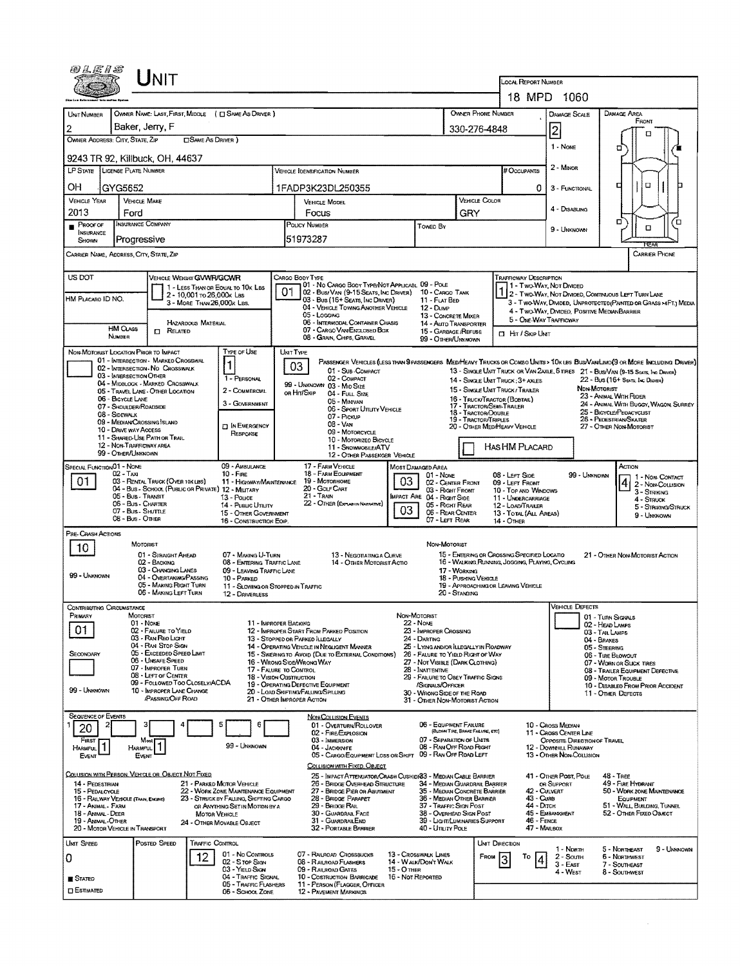| 04E1S                                                                                                                                                                                                                                                                                                                                                              |                                                                         | INIT                                                                  |                             |                                                                          |              |                                                                                                                                 |                                                                                                                                 |                   |                                                                          |                                      |                                                                                                                                             |                                                                                                |                                                        |              |                                                                 |  |  |  |  |
|--------------------------------------------------------------------------------------------------------------------------------------------------------------------------------------------------------------------------------------------------------------------------------------------------------------------------------------------------------------------|-------------------------------------------------------------------------|-----------------------------------------------------------------------|-----------------------------|--------------------------------------------------------------------------|--------------|---------------------------------------------------------------------------------------------------------------------------------|---------------------------------------------------------------------------------------------------------------------------------|-------------------|--------------------------------------------------------------------------|--------------------------------------|---------------------------------------------------------------------------------------------------------------------------------------------|------------------------------------------------------------------------------------------------|--------------------------------------------------------|--------------|-----------------------------------------------------------------|--|--|--|--|
|                                                                                                                                                                                                                                                                                                                                                                    |                                                                         |                                                                       |                             |                                                                          |              |                                                                                                                                 |                                                                                                                                 |                   |                                                                          |                                      | LOCAL REPORT NUMBER<br>18 MPD 1060                                                                                                          |                                                                                                |                                                        |              |                                                                 |  |  |  |  |
|                                                                                                                                                                                                                                                                                                                                                                    |                                                                         |                                                                       |                             |                                                                          |              |                                                                                                                                 |                                                                                                                                 |                   |                                                                          |                                      |                                                                                                                                             |                                                                                                |                                                        |              |                                                                 |  |  |  |  |
| UNIT NUMBER                                                                                                                                                                                                                                                                                                                                                        | OWNER NAME: LAST, FIRST, MIDDLE ( C SAME AS DRIVER )<br>Baker, Jerry, F |                                                                       |                             |                                                                          |              |                                                                                                                                 |                                                                                                                                 |                   |                                                                          |                                      | OWNER PHONE NUMBER                                                                                                                          |                                                                                                | <b>DAMAGE SCALE</b>                                    |              | DAMAGE AREA<br>FRONT                                            |  |  |  |  |
| 2<br>330-276-4848<br>OWNER ADDRESS: CITY, STATE, ZIP<br><b>CISAME AS DRIVER</b> )                                                                                                                                                                                                                                                                                  |                                                                         |                                                                       |                             |                                                                          |              |                                                                                                                                 |                                                                                                                                 |                   |                                                                          |                                      |                                                                                                                                             |                                                                                                | 2                                                      |              | п                                                               |  |  |  |  |
| 9243 TR 92, Killbuck, OH, 44637                                                                                                                                                                                                                                                                                                                                    |                                                                         |                                                                       |                             |                                                                          |              |                                                                                                                                 |                                                                                                                                 |                   |                                                                          |                                      |                                                                                                                                             |                                                                                                | 1 - None                                               |              | σ                                                               |  |  |  |  |
| LP STATE LICENSE PLATE NUMBER<br>VEHICLE IDENTIFICATION NUMBER                                                                                                                                                                                                                                                                                                     |                                                                         |                                                                       |                             |                                                                          |              |                                                                                                                                 |                                                                                                                                 |                   |                                                                          |                                      |                                                                                                                                             | # Occupants                                                                                    | 2 Minon                                                |              |                                                                 |  |  |  |  |
| OН<br>GYG5652<br>1FADP3K23DL250355                                                                                                                                                                                                                                                                                                                                 |                                                                         |                                                                       |                             |                                                                          |              |                                                                                                                                 |                                                                                                                                 |                   |                                                                          |                                      |                                                                                                                                             | 0                                                                                              | 3 - FUNCTIONAL                                         |              | α<br>а                                                          |  |  |  |  |
| <b>VEHICLE YEAR</b>                                                                                                                                                                                                                                                                                                                                                | <b>VEHICLE MAKE</b>                                                     |                                                                       |                             |                                                                          |              | VEHICLE MODEL                                                                                                                   |                                                                                                                                 |                   |                                                                          |                                      | VEHICLE COLOR                                                                                                                               |                                                                                                |                                                        |              |                                                                 |  |  |  |  |
| 2013                                                                                                                                                                                                                                                                                                                                                               | Ford                                                                    |                                                                       |                             |                                                                          | GRY<br>Focus |                                                                                                                                 |                                                                                                                                 |                   |                                                                          |                                      |                                                                                                                                             |                                                                                                | 4 - DISABLING                                          |              |                                                                 |  |  |  |  |
| $P$ ROOF OF<br><b>INSURANCE</b><br>SHOWN                                                                                                                                                                                                                                                                                                                           | <b>INSURANCE COMPANY</b><br>Progressive                                 |                                                                       |                             |                                                                          |              | POLICY NUMBER<br>TOWED BY<br>51973287                                                                                           |                                                                                                                                 |                   |                                                                          |                                      |                                                                                                                                             |                                                                                                | 9 - UNKNOWN                                            | σ<br>o<br>O  |                                                                 |  |  |  |  |
| CARRIER NAME, ADDRESS, CITY, STATE, ZIP                                                                                                                                                                                                                                                                                                                            |                                                                         |                                                                       |                             |                                                                          |              |                                                                                                                                 |                                                                                                                                 |                   |                                                                          |                                      |                                                                                                                                             |                                                                                                |                                                        |              | <b>FCEAR</b><br><b>CARRIER PHONE</b>                            |  |  |  |  |
| US DOT<br><b>VENICLE WEIGHT GVWR/GCWR</b><br>CARGO BODY TYPE<br>Trafficway Description                                                                                                                                                                                                                                                                             |                                                                         |                                                                       |                             |                                                                          |              |                                                                                                                                 |                                                                                                                                 |                   |                                                                          |                                      |                                                                                                                                             |                                                                                                |                                                        |              |                                                                 |  |  |  |  |
|                                                                                                                                                                                                                                                                                                                                                                    |                                                                         |                                                                       | 2 - 10,001 To 26,000k Las   | 1 - LESS THAN OR EQUAL TO 10K LBS                                        |              |                                                                                                                                 | 01 - No CARGO BOOY TYPE/NOT APPLICABL 09 - POLE<br>02 - Bus/Van (9-15 Seats, Inc Driver) 10 - Cargo Tank                        |                   |                                                                          |                                      |                                                                                                                                             | 1 - Two-Way, Not Divideo<br>1 2 - Two-Way, Not Divided, Continuous LEFT TURN LANE              |                                                        |              |                                                                 |  |  |  |  |
| HM PLACARD ID NO.                                                                                                                                                                                                                                                                                                                                                  |                                                                         |                                                                       | 3 - MORE THAN 26,000 K LBS. |                                                                          |              |                                                                                                                                 | 03 - Bus (16+ Seats, Inc Driver)<br>04 - VEHICLE TOWING ANOTHER VEHICLE                                                         |                   | 11 - FLAT BED<br>$12 - D$ uMP                                            |                                      |                                                                                                                                             | 3 - Two-Way, Divided, UNPROTECTED (PAINTED OR GRASS > FT.) MEDIA                               |                                                        |              |                                                                 |  |  |  |  |
|                                                                                                                                                                                                                                                                                                                                                                    |                                                                         |                                                                       | HAZARDOUS MATERIAL          |                                                                          |              | 05 - LOGGING                                                                                                                    | 06 - INTERMODAL CONTAINER CHASIS                                                                                                |                   | 13 - CONCRETE MIXER<br>14 - AUTO TRANSPORTER                             |                                      |                                                                                                                                             | 4 - Two-Way, DIVIDED, POSITIVE MEDIANBARRIER<br>5 - ONE-WAY TRAFFICWAY                         |                                                        |              |                                                                 |  |  |  |  |
|                                                                                                                                                                                                                                                                                                                                                                    | <b>HM CLASS</b><br>NUMBER                                               | $\Box$ Related                                                        |                             |                                                                          |              | 08 - GRAIN, CHIPS, GRAVEL                                                                                                       | 07 - CARGO VAN ENCLOSED BOX                                                                                                     |                   | 15 - GARBAGE /REFUSE<br>99 - OTHER/UNKNOWN                               |                                      |                                                                                                                                             | <b>CI HIT / SKIP UNIT</b>                                                                      |                                                        |              |                                                                 |  |  |  |  |
| NON-MOTORIST LOCATION PRIOR TO IMPACT                                                                                                                                                                                                                                                                                                                              |                                                                         |                                                                       |                             | TYPE OF USE                                                              |              | <b>UNIT TYPE</b>                                                                                                                |                                                                                                                                 |                   |                                                                          |                                      |                                                                                                                                             |                                                                                                |                                                        |              |                                                                 |  |  |  |  |
| 01 - INTERSECTION - MARKED CROSSWAL<br>PASSENGER VEHICLES (LESS THAN 9 PASSENGERS MEDIMEAVY TRUCKS OR COMBO UNITS > 10K LBS BUS/VAN/LIMO(9 OR MORE INCLUDING DRIVER)<br>$\mathbf 1$<br>03<br>02 - INTERSECTION - NO CROSSWALK<br>01 - Sub-Compact<br>13 - SINGLE UNIT TRUCK OR VAN ZAXLE, 6 TIRES 21 - BUS/VAN (9-15 SEATS, INC DRIVER)<br>03 - INTERSECTION OTHER |                                                                         |                                                                       |                             |                                                                          |              |                                                                                                                                 |                                                                                                                                 |                   |                                                                          |                                      |                                                                                                                                             |                                                                                                |                                                        |              |                                                                 |  |  |  |  |
|                                                                                                                                                                                                                                                                                                                                                                    |                                                                         | 04 - MIDBLOCK - MARKED CROSSWALK<br>05 - TRAVEL LANE - OTHER LOCATION |                             | 1 - PERSONAL<br>2 - COMMERCIAL                                           |              | 99 - UNKNOWN 03 - MID SIZE<br>on Hirt/Skip                                                                                      | 02 - COMPACT                                                                                                                    |                   |                                                                          |                                      | 14 - SINGLE UNIT TRUCK; 3+ AXLES<br>15 - SINGLE UNIT TRUCK / TRAILER                                                                        |                                                                                                |                                                        | NON-MOTORIST | 22 - Bus (16+ Seats, Inc. Drawer)                               |  |  |  |  |
|                                                                                                                                                                                                                                                                                                                                                                    | 06 - BICYCLE LANE<br>07 - Shoulder/Roadside                             |                                                                       |                             | 3 - GOVERNMENT                                                           |              |                                                                                                                                 | 04 - FULL SIZE<br>05 - Minivan                                                                                                  |                   |                                                                          |                                      | 16 - TRUCK/TRACTOR (BOBTAIL)<br>17 - TRACTOR/SEMI-TRAILER                                                                                   |                                                                                                |                                                        |              | 23 - ANIMAL WITH RIDER<br>24 - ANIMAL WITH BUGGY, WAGON, SURREY |  |  |  |  |
|                                                                                                                                                                                                                                                                                                                                                                    | 08 - SIDEWALK                                                           | 09 - MEDIAN/CROSSING SLAND                                            |                             |                                                                          |              | 06 - Sport Utility Vehicle<br>18 - TRACTOR/DOUBLE<br>07 - Pickup<br>19 - Tractor/Triples                                        |                                                                                                                                 |                   |                                                                          |                                      |                                                                                                                                             | 25 - BICYCLE/PEDACYCLIST<br>26 - PEDESTRIAN SKATER                                             |                                                        |              |                                                                 |  |  |  |  |
|                                                                                                                                                                                                                                                                                                                                                                    | 10 - DRIVE WAY ACCESS                                                   | 11 - SHARED-USE PATH OR TRAIL                                         |                             | <b>FT IN EMERGENCY</b><br>RESPONSE                                       |              | 08 - VAN<br>09 - MOTORCYCLE<br>10 - MOTORIZEO BIGYCLE                                                                           |                                                                                                                                 |                   |                                                                          |                                      |                                                                                                                                             | 20 - OTHER MEDIHEAVY VEHICLE<br>27 - OTHER NON-MOTORIST                                        |                                                        |              |                                                                 |  |  |  |  |
|                                                                                                                                                                                                                                                                                                                                                                    | 12 - NON-TRAFFICWAY AREA<br>99 - OTHER/UNKNOWN                          |                                                                       |                             |                                                                          |              |                                                                                                                                 | 11 - SNOWMOBILE/ATV<br>12 - OTHER PASSENGER VEHICLE                                                                             |                   |                                                                          |                                      |                                                                                                                                             | HAS HM PLACARD                                                                                 |                                                        |              |                                                                 |  |  |  |  |
| SPECIAL FUNCTION 01 - NOME                                                                                                                                                                                                                                                                                                                                         |                                                                         |                                                                       |                             | 09 - AMBULANCE                                                           |              | 17 - FARM VEHICLE<br>MOST DAMAGED AREA                                                                                          |                                                                                                                                 |                   |                                                                          |                                      |                                                                                                                                             |                                                                                                |                                                        |              | Астом                                                           |  |  |  |  |
| $02 - T_Ax$<br>$10 -$ Fine<br>01<br>03 - RENTAL TRUCK (OVER 10K LBS)<br>11 - HIGHWAY/MAINTENANCE                                                                                                                                                                                                                                                                   |                                                                         |                                                                       |                             |                                                                          |              | 18 - FARM EQUIPMENT<br>01 - None<br>03<br>19 Мотояноме<br>02 - CENTER FRONT                                                     |                                                                                                                                 |                   |                                                                          |                                      |                                                                                                                                             | 08 - LEFT SIDE<br>09 - LEFT FRONT                                                              | 99 - UNKNOWN<br>1 - NON-CONTACT<br>4 2 - NON-COLLISION |              |                                                                 |  |  |  |  |
| 20 - GOLF CART<br>04 - Bus - SCHOOL (PUBLIC OR PRIVATE) 12 - MILITARY<br>$21 - T$ RAIN<br>05 - Bus - Transit<br>MPACT ARE 04 - RIGHT SIDE<br>13 - Pouce<br>22 - OTHER (EXPLAN IN NARRATIVE)                                                                                                                                                                        |                                                                         |                                                                       |                             |                                                                          |              |                                                                                                                                 |                                                                                                                                 | 03 - Right Front  | 10 - TOP AND WINDOWS<br>3 - STRIKING<br>11 - UNDERCARRIAGE<br>4 - STRUCK |                                      |                                                                                                                                             |                                                                                                |                                                        |              |                                                                 |  |  |  |  |
| 06 - Bus - Charter<br>14 - Pusuc Unurv<br>07 - Bus - Shuttle<br>15 - OTHER GOVERNMENT<br>08 - Bus - Other                                                                                                                                                                                                                                                          |                                                                         |                                                                       |                             |                                                                          |              |                                                                                                                                 |                                                                                                                                 | 03                | 05 - Right Rear<br>06 - REAR CENTER                                      |                                      |                                                                                                                                             | 12 - LOAD/TRAILER<br>13 - TOTAL (ALL AREAS)                                                    | 5 - STRIKING/STRUCK<br>9 - UNKNOWN                     |              |                                                                 |  |  |  |  |
| PRE-CRASH ACTIONS                                                                                                                                                                                                                                                                                                                                                  |                                                                         |                                                                       |                             | 16 - CONSTRUCTION EOIP.                                                  |              |                                                                                                                                 |                                                                                                                                 |                   | 07 - LEFT REAR                                                           |                                      | <b>14 - OTHER</b>                                                                                                                           |                                                                                                |                                                        |              |                                                                 |  |  |  |  |
| 10                                                                                                                                                                                                                                                                                                                                                                 | MOTORIST                                                                |                                                                       |                             |                                                                          |              |                                                                                                                                 |                                                                                                                                 |                   | NON-MOTORIST                                                             |                                      |                                                                                                                                             |                                                                                                |                                                        |              |                                                                 |  |  |  |  |
|                                                                                                                                                                                                                                                                                                                                                                    |                                                                         | 01 - STRAIGHT AHEAD<br>02 - BACKING                                   |                             | 07 - MAKING U-TURN<br>08 - ENTERING TRAFFIC LANE                         |              |                                                                                                                                 | 13 - NEGOTIATING A CURVE<br>14 - OTHER MOTORIST ACTIO                                                                           |                   |                                                                          |                                      |                                                                                                                                             | 15 - ENTERING OR CROSSING SPECIFIED LOCATIO<br>16 - WALKING RUNNING, JOGGING, PLAYING, CYCLING |                                                        |              | 21 - Отнер Non-Motorist Action                                  |  |  |  |  |
| 99 - UNKNOWN                                                                                                                                                                                                                                                                                                                                                       |                                                                         | 03 - CHANGING LANES<br>04 - OVERTAKING PASSING                        |                             | 09 - LEAVING TRAFFIC LANE<br>10 - PARKED                                 |              |                                                                                                                                 |                                                                                                                                 |                   |                                                                          | 17 - WORKING<br>18 - Pusrang Versaue |                                                                                                                                             |                                                                                                |                                                        |              |                                                                 |  |  |  |  |
|                                                                                                                                                                                                                                                                                                                                                                    |                                                                         | 05 - MAKING RIGHT TURN<br>06 - MAKING LEFT TURN                       |                             | 11 - Slowing or Stopped in Traffic<br>12 - DRIVERLESS                    |              |                                                                                                                                 |                                                                                                                                 |                   |                                                                          | 20 - STANDING                        | 19 - APPROACHING OR LEAVING VEHICLE                                                                                                         |                                                                                                |                                                        |              |                                                                 |  |  |  |  |
| CONTRIBUTING CIRCUMSTANCE                                                                                                                                                                                                                                                                                                                                          |                                                                         |                                                                       |                             |                                                                          |              |                                                                                                                                 |                                                                                                                                 |                   |                                                                          |                                      |                                                                                                                                             |                                                                                                | <b>VEHICLE DEFECTS</b>                                 |              |                                                                 |  |  |  |  |
| Primary<br>01                                                                                                                                                                                                                                                                                                                                                      | MOTORIST<br>01 - None                                                   | 02 - FAILURE TO YIELD                                                 |                             |                                                                          |              | NON-MOTORIST<br>11 - IMPROPER BACKING<br><b>22 - NONE</b><br>23 - IMPROPER CROSSING<br>12 - IMPROPER START FROM PARKED POSITION |                                                                                                                                 |                   |                                                                          |                                      |                                                                                                                                             |                                                                                                | 01 - TURN SIGNALS<br>02 - HEAD LAMPS                   |              |                                                                 |  |  |  |  |
|                                                                                                                                                                                                                                                                                                                                                                    |                                                                         | 03 - RAN REO LIGHT<br>04 - RAN STOP SIGN                              |                             |                                                                          |              | 13 - Stopped or Parked LLEGALLY<br>14 - OPERATING VEHICLE IN NEGLIGENT MANNER                                                   |                                                                                                                                 |                   | 24 - DARTING                                                             |                                      |                                                                                                                                             |                                                                                                | 03 - TAIL LAMPS<br>04 - BRAKES                         |              |                                                                 |  |  |  |  |
| SECONDARY                                                                                                                                                                                                                                                                                                                                                          |                                                                         | 05 - Exceeded Speed Limit<br>06 - UMSAFE SPEED                        |                             |                                                                          |              | 15 - Swering to Avoid (Due to External Conditions)<br>16 - WRONG SIDE/WRONG WAY                                                 |                                                                                                                                 |                   | 26 - FALURE TO YIELD RIGHT OF WAY                                        |                                      | 25 - LYING AND/OR ILLEGALLY IN ROADWAY<br>05 - STEERING<br>06 - TIRE BLOWOUT<br>27 - NOT VISIBLE (DARK CLOTHING)<br>07 - WORN OR SUCK TIRES |                                                                                                |                                                        |              |                                                                 |  |  |  |  |
|                                                                                                                                                                                                                                                                                                                                                                    |                                                                         | 07 - IMPROPER TURN<br>08 - LEFT OF CENTER                             |                             | 17 - FALURE TO CONTROL<br><b>18 - VISION OBSTRUCTION</b>                 |              |                                                                                                                                 |                                                                                                                                 |                   | 28 - INATTENTIVE<br>29 - FAILURE TO OBEY TRAFFIC SIGNS                   |                                      |                                                                                                                                             | 08 - TRALER EQUIPMENT DEFECTIVE<br>09 - MOTOR TROUBLE                                          |                                                        |              |                                                                 |  |  |  |  |
| 99 - UNKNOWN                                                                                                                                                                                                                                                                                                                                                       |                                                                         | 09 - FOLLOWED TOO CLOSELY/ACDA<br>10 - IMPROPER LANE CHANGE           |                             |                                                                          |              | 19 - OPERATING DEFECTIVE EQUIPMENT<br>20 - LOAD SHIFTING/FALLING/SPILLING                                                       |                                                                                                                                 |                   | /SIGNALS/OFFICER<br>30 - WRONG SIDE OF THE ROAD                          |                                      | 10 - DISABLED FROM PRIOR ACCIDENT<br>11 - OTHER DEFECTS                                                                                     |                                                                                                |                                                        |              |                                                                 |  |  |  |  |
|                                                                                                                                                                                                                                                                                                                                                                    |                                                                         | /Passing/Off ROAD                                                     |                             |                                                                          |              | 21 - Other Improper Action                                                                                                      |                                                                                                                                 |                   | 31 - OTHER NON-MOTORIST ACTION                                           |                                      |                                                                                                                                             |                                                                                                |                                                        |              |                                                                 |  |  |  |  |
| SEQUENCE OF EVENTS                                                                                                                                                                                                                                                                                                                                                 |                                                                         |                                                                       |                             | 5                                                                        |              | <b>NON-COLLISION EVENTS</b>                                                                                                     | 01 - OVERTURN/ROLLOVER                                                                                                          |                   | 06 - EQUIPMENT FAILURE                                                   |                                      |                                                                                                                                             |                                                                                                | 10 - CROSS MEDIAN                                      |              |                                                                 |  |  |  |  |
| 20<br>FIRST                                                                                                                                                                                                                                                                                                                                                        | Most                                                                    |                                                                       |                             |                                                                          |              | 02 - FIRE/EXPLOSION<br>03 - IMMERSION                                                                                           |                                                                                                                                 |                   | 07 - SEPARATION OF UNITS                                                 | (BLOWN TIRE, BRAKE FAILURE, ETC)     |                                                                                                                                             |                                                                                                | 11 - CROSS CENTER LINE<br>OPPOSITE DIRECTION OF TRAVEL |              |                                                                 |  |  |  |  |
| <b>MARMFUL</b><br>EVENT                                                                                                                                                                                                                                                                                                                                            | HARMFUL<br>EVENT                                                        |                                                                       |                             | 99 - UNKNOWN                                                             |              | 04 - JACKKNIFE                                                                                                                  | 05 - CARGO/EQUIPMENT LOSS OR SHIFT 09 - RAN OFF ROAD LEFT                                                                       |                   | 08 - RAN OFF ROAD RIGHT                                                  |                                      |                                                                                                                                             |                                                                                                | 12 - DOWNHILL RUNAWAY<br>13 - OTHER NON-COLLISION      |              |                                                                 |  |  |  |  |
| COLLISION WITH PERSON, VEHICLE OR OBJECT NOT FIXED                                                                                                                                                                                                                                                                                                                 |                                                                         |                                                                       |                             |                                                                          |              |                                                                                                                                 | COLLISION WITH FIXED, OBJECT                                                                                                    |                   |                                                                          |                                      |                                                                                                                                             |                                                                                                |                                                        |              |                                                                 |  |  |  |  |
| 14 - PEDESTRIAN                                                                                                                                                                                                                                                                                                                                                    |                                                                         |                                                                       |                             | 21 - PARKED MOTOR VEHICLE<br>22 - WORK ZONE MAINTENANCE EQUIPMENT        |              |                                                                                                                                 | 25 - IMPACT ATTENUATOR/CRASH CUSHIDR33 - MEDIAN CABLE BARRIER<br>26 - BRIDGE OVERHEAD STRUCTURE<br>27 - BRIDGE PIER OR ABUTMENT |                   | 34 - MEDIAN GUARDRAIL BARRIER<br>35 - MEDIAN CONCRETE BARRIER            |                                      |                                                                                                                                             | 42 - Culvert                                                                                   | 41 - OTHER POST, POLE<br>OR SUPPORT                    |              | 48 - TREE<br>49 - FIRE HYDRANT<br>50 - WORK ZONE MAINTENANCE    |  |  |  |  |
| 15 - PEDALCYCLE<br>16 - RAILWAY VEHICLE (TRAIN, ENGINE)<br>17 - Animal - Farm                                                                                                                                                                                                                                                                                      |                                                                         |                                                                       |                             | 23 - STRUCK BY FALLING, SHIFTING CARGO<br>OR ANYTHING SET IN MOTION BY A |              | 28 - BRIDGE PARAPET<br>29 - BRIDGE RAIL                                                                                         |                                                                                                                                 |                   | 36 - MEDIAN OTHER BARRIER<br>37 - TRAFFIC SIGN POST                      |                                      |                                                                                                                                             | 43 - Cuns<br>44 - Олсн                                                                         |                                                        |              | EQUIPMENT<br>51 - WALL BUILDING, TUNNEL                         |  |  |  |  |
| 18 - Animal - Deer<br>19 - Animal - Other                                                                                                                                                                                                                                                                                                                          |                                                                         |                                                                       | <b>MOTOR VEHICLE</b>        | 24 - Отнея Моулвце Овлест                                                |              | 30 - GUARDRAIL FACE<br>31 - GUARDRAILEND                                                                                        |                                                                                                                                 |                   | 38 - Overhead Sign Post<br>39 - LIGHT/LUMINARIES SUPPORT                 |                                      |                                                                                                                                             | 46 - FENCE                                                                                     | 45 - EMBANKMENT                                        |              | 52 - OTHER FIXED OBJECT                                         |  |  |  |  |
| 20 - MOTOR VEHICLE IN TRANSPORT                                                                                                                                                                                                                                                                                                                                    |                                                                         |                                                                       |                             |                                                                          |              |                                                                                                                                 | 32 - PORTABLE BARRIER                                                                                                           |                   | 40 - Unury Pole                                                          |                                      |                                                                                                                                             | 47 - MAILBOX                                                                                   |                                                        |              |                                                                 |  |  |  |  |
| UMT SPEED                                                                                                                                                                                                                                                                                                                                                          |                                                                         | POSTED SPEED                                                          | TRAFFIC CONTROL             | 01 - No Controls                                                         |              | 07 - RAILROAD CROSSBUCKS                                                                                                        |                                                                                                                                 |                   | 13 - Crosswalk Lines                                                     |                                      | UNIT DIRECTION                                                                                                                              |                                                                                                | 1 - North                                              |              | 5 - Northeast<br>9 - UNKNOWN                                    |  |  |  |  |
| 0                                                                                                                                                                                                                                                                                                                                                                  |                                                                         |                                                                       | $12 \overline{ }$           | 02 - S TOP SIGN<br>03 - YIELD SIGN                                       |              | 08 - RAILROAD FLASHERS<br>09 - RAILROAD GATES                                                                                   |                                                                                                                                 | $15 - O$ THER     | 14 - WALK/DON'T WALK                                                     |                                      | FROM                                                                                                                                        | То                                                                                             | 2 - Sounn<br>3 - East                                  |              | <b>6 - NORTHWEST</b><br>7 - SOUTHEAST                           |  |  |  |  |
| ■ Stated                                                                                                                                                                                                                                                                                                                                                           |                                                                         |                                                                       |                             | 04 - TRAFFIC SIGNAL<br>05 - TRAFFIC FLASHERS                             |              | 10 - Costruction Barricade<br>11 - PERSON (FLAGGER, OFFICER                                                                     |                                                                                                                                 | 16 - Not Reported |                                                                          |                                      |                                                                                                                                             |                                                                                                | 4 - West                                               |              | 8 - Southwest                                                   |  |  |  |  |
| <b>ESTIMATED</b>                                                                                                                                                                                                                                                                                                                                                   |                                                                         |                                                                       |                             | 06 - SCHOOL ZONE                                                         |              | 12 - PAVEMENT MARKINGS                                                                                                          |                                                                                                                                 |                   |                                                                          |                                      |                                                                                                                                             |                                                                                                |                                                        |              |                                                                 |  |  |  |  |